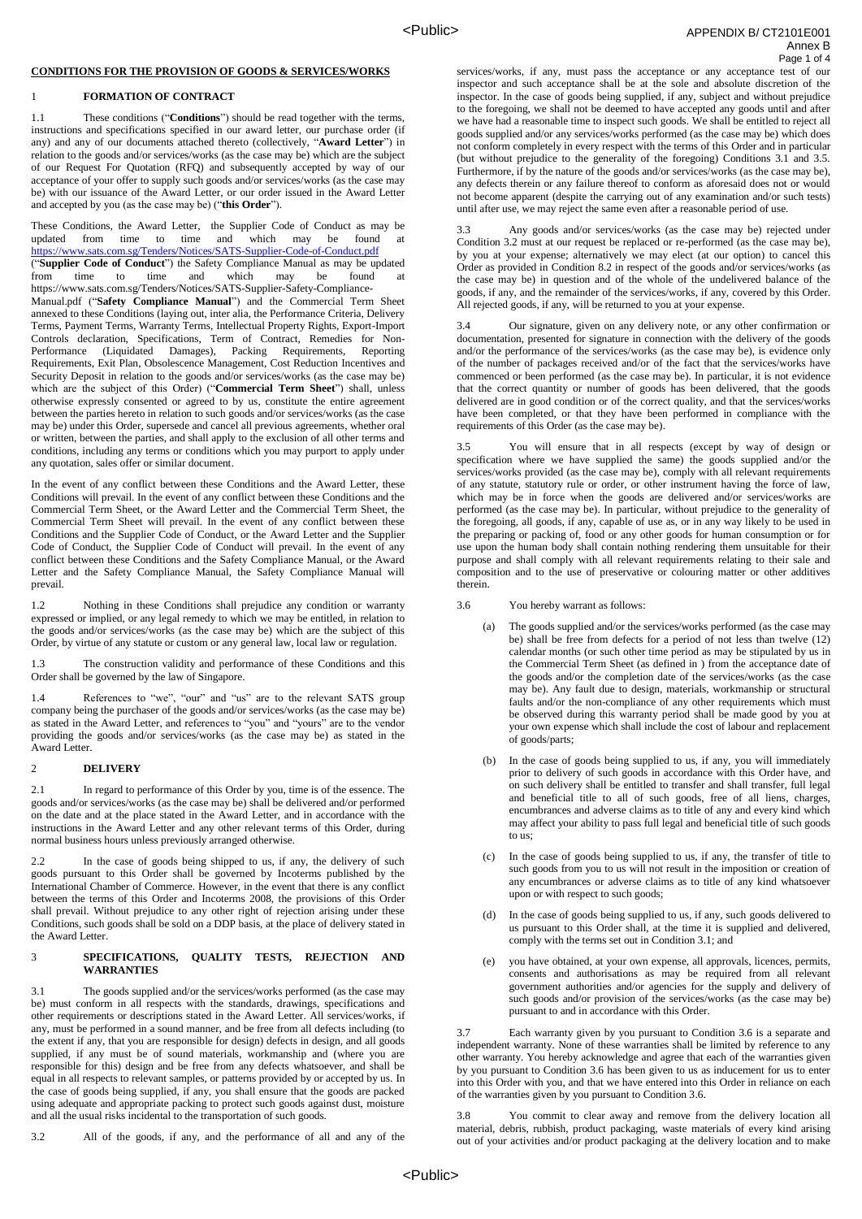# **CONDITIONS FOR THE PROVISION OF GOODS & SERVICES/WORKS**

### 1 **FORMATION OF CONTRACT**

1.1 These conditions ("**Conditions**") should be read together with the terms, instructions and specifications specified in our award letter, our purchase order (if any) and any of our documents attached thereto (collectively, "**Award Letter**") in relation to the goods and/or services/works (as the case may be) which are the subject of our Request For Quotation (RFQ) and subsequently accepted by way of our acceptance of your offer to supply such goods and/or services/works (as the case may be) with our issuance of the Award Letter, or our order issued in the Award Letter and accepted by you (as the case may be) ("**this Order**").

These Conditions, the Award Letter, the Supplier Code of Conduct as may be updated from time to time and which may be found at <https://www.sats.com.sg/Tenders/Notices/SATS-Supplier-Code-of-Conduct.pdf> ("**Supplier Code of Conduct**") the Safety Compliance Manual as may be updated which may be found https://www.sats.com.sg/Tenders/Notices/SATS-Supplier-Safety-Compliance-Manual.pdf ("**Safety Compliance Manual**") and the Commercial Term Sheet annexed to these Conditions (laying out, inter alia, the Performance Criteria, Delivery Terms, Payment Terms, Warranty Terms, Intellectual Property Rights, Export-Import Controls declaration, Specifications, Term of Contract, Remedies for Non-Performance (Liquidated Damages), Packing Requirements, Reporting Requirements, Exit Plan, Obsolescence Management, Cost Reduction Incentives and Security Deposit in relation to the goods and/or services/works (as the case may be) which are the subject of this Order) ("**Commercial Term Sheet**") shall, unless otherwise expressly consented or agreed to by us, constitute the entire agreement between the parties hereto in relation to such goods and/or services/works (as the case may be) under this Order, supersede and cancel all previous agreements, whether oral or written, between the parties, and shall apply to the exclusion of all other terms and conditions, including any terms or conditions which you may purport to apply under any quotation, sales offer or similar document.

In the event of any conflict between these Conditions and the Award Letter, these Conditions will prevail. In the event of any conflict between these Conditions and the Commercial Term Sheet, or the Award Letter and the Commercial Term Sheet, the Commercial Term Sheet will prevail. In the event of any conflict between these Conditions and the Supplier Code of Conduct, or the Award Letter and the Supplier Code of Conduct, the Supplier Code of Conduct will prevail. In the event of any conflict between these Conditions and the Safety Compliance Manual, or the Award Letter and the Safety Compliance Manual, the Safety Compliance Manual will prevail.

1.2 Nothing in these Conditions shall prejudice any condition or warranty expressed or implied, or any legal remedy to which we may be entitled, in relation to the goods and/or services/works (as the case may be) which are the subject of this Order, by virtue of any statute or custom or any general law, local law or regulation.

1.3 The construction validity and performance of these Conditions and this Order shall be governed by the law of Singapore.

1.4 References to "we", "our" and "us" are to the relevant SATS group company being the purchaser of the goods and/or services/works (as the case may be) as stated in the Award Letter, and references to "you" and "yours" are to the vendor providing the goods and/or services/works (as the case may be) as stated in the Award Letter.

### 2 **DELIVERY**

2.1 In regard to performance of this Order by you, time is of the essence. The goods and/or services/works (as the case may be) shall be delivered and/or performed on the date and at the place stated in the Award Letter, and in accordance with the instructions in the Award Letter and any other relevant terms of this Order, during normal business hours unless previously arranged otherwise.

2.2 In the case of goods being shipped to us, if any, the delivery of such goods pursuant to this Order shall be governed by Incoterms published by the International Chamber of Commerce. However, in the event that there is any conflict between the terms of this Order and Incoterms 2008, the provisions of this Order shall prevail. Without prejudice to any other right of rejection arising under these Conditions, such goods shall be sold on a DDP basis, at the place of delivery stated in the Award Letter.

### 3 **SPECIFICATIONS, QUALITY TESTS, REJECTION AND WARRANTIES**

3.1 The goods supplied and/or the services/works performed (as the case may be) must conform in all respects with the standards, drawings, specifications and other requirements or descriptions stated in the Award Letter. All services/works, if any, must be performed in a sound manner, and be free from all defects including (to the extent if any, that you are responsible for design) defects in design, and all goods supplied, if any must be of sound materials, workmanship and (where you are responsible for this) design and be free from any defects whatsoever, and shall be equal in all respects to relevant samples, or patterns provided by or accepted by us. In the case of goods being supplied, if any, you shall ensure that the goods are packed using adequate and appropriate packing to protect such goods against dust, moisture and all the usual risks incidental to the transportation of such goods.

3.2 All of the goods, if any, and the performance of all and any of the

 APPENDIX B/ CT2101E001 Annex B Page 1 of 4

services/works, if any, must pass the acceptance or any acceptance test of our inspector and such acceptance shall be at the sole and absolute discretion of the inspector. In the case of goods being supplied, if any, subject and without prejudice to the foregoing, we shall not be deemed to have accepted any goods until and after we have had a reasonable time to inspect such goods. We shall be entitled to reject all goods supplied and/or any services/works performed (as the case may be) which does not conform completely in every respect with the terms of this Order and in particular (but without prejudice to the generality of the foregoing) Conditions 3.1 and 3.5. Furthermore, if by the nature of the goods and/or services/works (as the case may be), any defects therein or any failure thereof to conform as aforesaid does not or would not become apparent (despite the carrying out of any examination and/or such tests) until after use, we may reject the same even after a reasonable period of use.

3.3 Any goods and/or services/works (as the case may be) rejected under Condition 3.2 must at our request be replaced or re-performed (as the case may be), by you at your expense; alternatively we may elect (at our option) to cancel this Order as provided in Condition 8.2 in respect of the goods and/or services/works (as the case may be) in question and of the whole of the undelivered balance of the goods, if any, and the remainder of the services/works, if any, covered by this Order. All rejected goods, if any, will be returned to you at your expense.

3.4 Our signature, given on any delivery note, or any other confirmation or documentation, presented for signature in connection with the delivery of the goods and/or the performance of the services/works (as the case may be), is evidence only of the number of packages received and/or of the fact that the services/works have commenced or been performed (as the case may be). In particular, it is not evidence that the correct quantity or number of goods has been delivered, that the goods delivered are in good condition or of the correct quality, and that the services/works have been completed, or that they have been performed in compliance with the requirements of this Order (as the case may be).

3.5 You will ensure that in all respects (except by way of design or specification where we have supplied the same) the goods supplied and/or the services/works provided (as the case may be), comply with all relevant requirements of any statute, statutory rule or order, or other instrument having the force of law, which may be in force when the goods are delivered and/or services/works are performed (as the case may be). In particular, without prejudice to the generality of the foregoing, all goods, if any, capable of use as, or in any way likely to be used in the preparing or packing of, food or any other goods for human consumption or for use upon the human body shall contain nothing rendering them unsuitable for their purpose and shall comply with all relevant requirements relating to their sale and composition and to the use of preservative or colouring matter or other additives therein.

3.6 You hereby warrant as follows:

- (a) The goods supplied and/or the services/works performed (as the case may be) shall be free from defects for a period of not less than twelve (12) calendar months (or such other time period as may be stipulated by us in the Commercial Term Sheet (as defined in ) from the acceptance date of the goods and/or the completion date of the services/works (as the case may be). Any fault due to design, materials, workmanship or structural faults and/or the non-compliance of any other requirements which must be observed during this warranty period shall be made good by you at your own expense which shall include the cost of labour and replacement of goods/parts;
- (b) In the case of goods being supplied to us, if any, you will immediately prior to delivery of such goods in accordance with this Order have, and on such delivery shall be entitled to transfer and shall transfer, full legal and beneficial title to all of such goods, free of all liens, charges, encumbrances and adverse claims as to title of any and every kind which may affect your ability to pass full legal and beneficial title of such goods to us;
- (c) In the case of goods being supplied to us, if any, the transfer of title to such goods from you to us will not result in the imposition or creation of any encumbrances or adverse claims as to title of any kind whatsoever upon or with respect to such goods;
- (d) In the case of goods being supplied to us, if any, such goods delivered to us pursuant to this Order shall, at the time it is supplied and delivered, comply with the terms set out in Condition 3.1; and
- (e) you have obtained, at your own expense, all approvals, licences, permits, consents and authorisations as may be required from all relevant government authorities and/or agencies for the supply and delivery of such goods and/or provision of the services/works (as the case may be) pursuant to and in accordance with this Order.

3.7 Each warranty given by you pursuant to Condition 3.6 is a separate and independent warranty. None of these warranties shall be limited by reference to any other warranty. You hereby acknowledge and agree that each of the warranties given by you pursuant to Condition 3.6 has been given to us as inducement for us to enter into this Order with you, and that we have entered into this Order in reliance on each of the warranties given by you pursuant to Condition 3.6.

3.8 You commit to clear away and remove from the delivery location all material, debris, rubbish, product packaging, waste materials of every kind arising out of your activities and/or product packaging at the delivery location and to make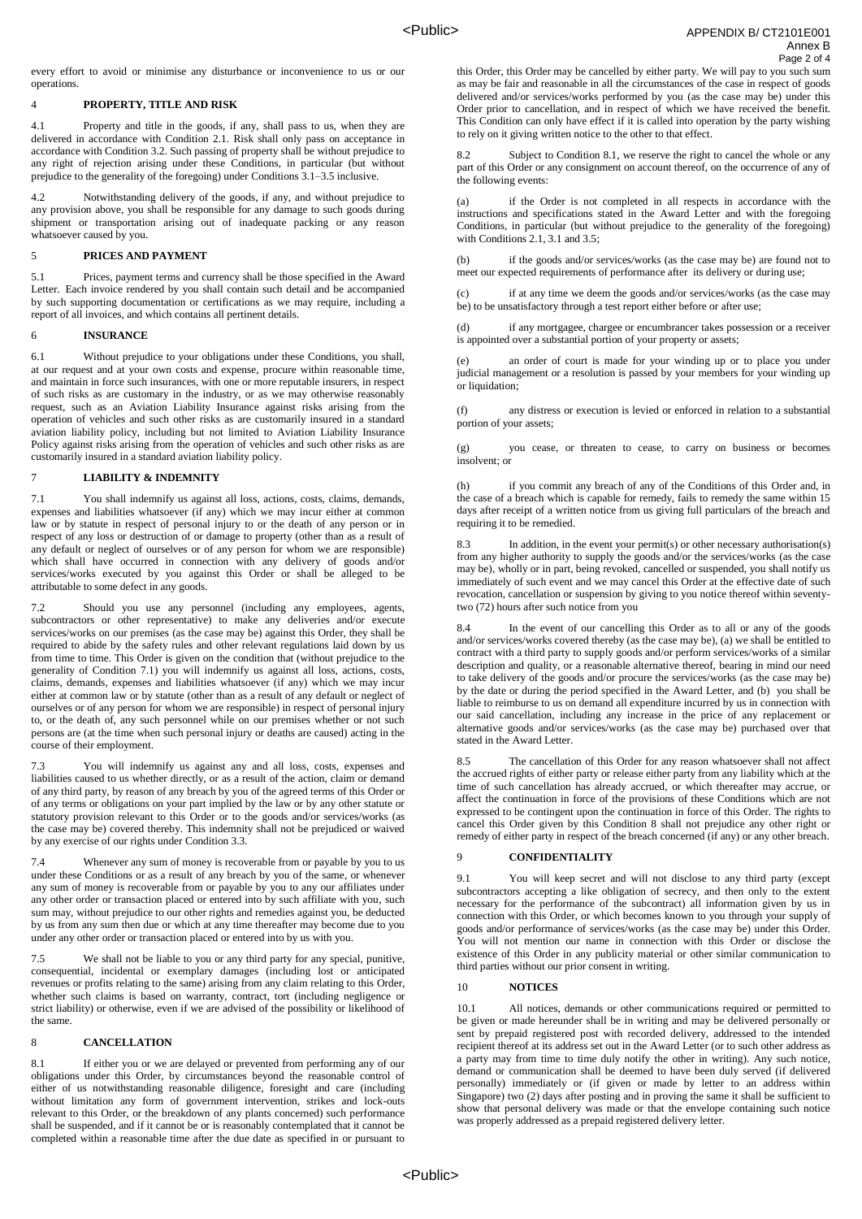every effort to avoid or minimise any disturbance or inconvenience to us or our operations.

#### 4 **PROPERTY, TITLE AND RISK**

4.1 Property and title in the goods, if any, shall pass to us, when they are delivered in accordance with Condition 2.1. Risk shall only pass on acceptance in accordance with Condition 3.2. Such passing of property shall be without prejudice to any right of rejection arising under these Conditions, in particular (but without prejudice to the generality of the foregoing) under Conditions 3.1–3.5 inclusive.

4.2 Notwithstanding delivery of the goods, if any, and without prejudice to any provision above, you shall be responsible for any damage to such goods during shipment or transportation arising out of inadequate packing or any reason whatsoever caused by you.

#### 5 **PRICES AND PAYMENT**

5.1 Prices, payment terms and currency shall be those specified in the Award Letter. Each invoice rendered by you shall contain such detail and be accompanied by such supporting documentation or certifications as we may require, including a report of all invoices, and which contains all pertinent details.

#### 6 **INSURANCE**

6.1 Without prejudice to your obligations under these Conditions, you shall, at our request and at your own costs and expense, procure within reasonable time, and maintain in force such insurances, with one or more reputable insurers, in respect of such risks as are customary in the industry, or as we may otherwise reasonably request, such as an Aviation Liability Insurance against risks arising from the operation of vehicles and such other risks as are customarily insured in a standard aviation liability policy, including but not limited to Aviation Liability Insurance Policy against risks arising from the operation of vehicles and such other risks as are customarily insured in a standard aviation liability policy.

# 7 **LIABILITY & INDEMNITY**

7.1 You shall indemnify us against all loss, actions, costs, claims, demands, expenses and liabilities whatsoever (if any) which we may incur either at common law or by statute in respect of personal injury to or the death of any person or in respect of any loss or destruction of or damage to property (other than as a result of any default or neglect of ourselves or of any person for whom we are responsible) which shall have occurred in connection with any delivery of goods and/or services/works executed by you against this Order or shall be alleged to be attributable to some defect in any goods.

7.2 Should you use any personnel (including any employees, agents, subcontractors or other representative) to make any deliveries and/or execute services/works on our premises (as the case may be) against this Order, they shall be required to abide by the safety rules and other relevant regulations laid down by us from time to time. This Order is given on the condition that (without prejudice to the generality of Condition 7.1) you will indemnify us against all loss, actions, costs, claims, demands, expenses and liabilities whatsoever (if any) which we may incur either at common law or by statute (other than as a result of any default or neglect of ourselves or of any person for whom we are responsible) in respect of personal injury to, or the death of, any such personnel while on our premises whether or not such persons are (at the time when such personal injury or deaths are caused) acting in the course of their employment.

7.3 You will indemnify us against any and all loss, costs, expenses and liabilities caused to us whether directly, or as a result of the action, claim or demand of any third party, by reason of any breach by you of the agreed terms of this Order or of any terms or obligations on your part implied by the law or by any other statute or statutory provision relevant to this Order or to the goods and/or services/works (as the case may be) covered thereby. This indemnity shall not be prejudiced or waived by any exercise of our rights under Condition 3.3.

7.4 Whenever any sum of money is recoverable from or payable by you to us under these Conditions or as a result of any breach by you of the same, or whenever any sum of money is recoverable from or payable by you to any our affiliates under any other order or transaction placed or entered into by such affiliate with you, such sum may, without prejudice to our other rights and remedies against you, be deducted by us from any sum then due or which at any time thereafter may become due to you under any other order or transaction placed or entered into by us with you.

We shall not be liable to you or any third party for any special, punitive, consequential, incidental or exemplary damages (including lost or anticipated revenues or profits relating to the same) arising from any claim relating to this Order, whether such claims is based on warranty, contract, tort (including negligence or strict liability) or otherwise, even if we are advised of the possibility or likelihood of the same.

#### 8 **CANCELLATION**

8.1 If either you or we are delayed or prevented from performing any of our obligations under this Order, by circumstances beyond the reasonable control of either of us notwithstanding reasonable diligence, foresight and care (including without limitation any form of government intervention, strikes and lock-outs relevant to this Order, or the breakdown of any plants concerned) such performance shall be suspended, and if it cannot be or is reasonably contemplated that it cannot be completed within a reasonable time after the due date as specified in or pursuant to

this Order, this Order may be cancelled by either party. We will pay to you such sum as may be fair and reasonable in all the circumstances of the case in respect of goods delivered and/or services/works performed by you (as the case may be) under this Order prior to cancellation, and in respect of which we have received the benefit. This Condition can only have effect if it is called into operation by the party wishing to rely on it giving written notice to the other to that effect.

Subject to Condition 8.1, we reserve the right to cancel the whole or any part of this Order or any consignment on account thereof, on the occurrence of any of the following events:

(a) if the Order is not completed in all respects in accordance with the instructions and specifications stated in the Award Letter and with the foregoing Conditions, in particular (but without prejudice to the generality of the foregoing) with Conditions 2.1, 3.1 and 3.5;

(b) if the goods and/or services/works (as the case may be) are found not to meet our expected requirements of performance after its delivery or during use;

(c) if at any time we deem the goods and/or services/works (as the case may be) to be unsatisfactory through a test report either before or after use;

(d) if any mortgagee, chargee or encumbrancer takes possession or a receiver is appointed over a substantial portion of your property or assets;

an order of court is made for your winding up or to place you under judicial management or a resolution is passed by your members for your winding up or liquidation:

(f) any distress or execution is levied or enforced in relation to a substantial portion of your assets;

(g) you cease, or threaten to cease, to carry on business or becomes insolvent; or

if you commit any breach of any of the Conditions of this Order and, in the case of a breach which is capable for remedy, fails to remedy the same within 15 days after receipt of a written notice from us giving full particulars of the breach and requiring it to be remedied.

8.3 In addition, in the event your permit(s) or other necessary authorisation(s) from any higher authority to supply the goods and/or the services/works (as the case may be), wholly or in part, being revoked, cancelled or suspended, you shall notify us immediately of such event and we may cancel this Order at the effective date of such revocation, cancellation or suspension by giving to you notice thereof within seventytwo (72) hours after such notice from you

8.4 In the event of our cancelling this Order as to all or any of the goods and/or services/works covered thereby (as the case may be), (a) we shall be entitled to contract with a third party to supply goods and/or perform services/works of a similar description and quality, or a reasonable alternative thereof, bearing in mind our need to take delivery of the goods and/or procure the services/works (as the case may be) by the date or during the period specified in the Award Letter, and (b) you shall be liable to reimburse to us on demand all expenditure incurred by us in connection with our said cancellation, including any increase in the price of any replacement or alternative goods and/or services/works (as the case may be) purchased over that stated in the Award Letter.

8.5 The cancellation of this Order for any reason whatsoever shall not affect the accrued rights of either party or release either party from any liability which at the time of such cancellation has already accrued, or which thereafter may accrue, or affect the continuation in force of the provisions of these Conditions which are not expressed to be contingent upon the continuation in force of this Order. The rights to cancel this Order given by this Condition 8 shall not prejudice any other right or remedy of either party in respect of the breach concerned (if any) or any other breach.

### 9 **CONFIDENTIALITY**

9.1 You will keep secret and will not disclose to any third party (except subcontractors accepting a like obligation of secrecy, and then only to the extent necessary for the performance of the subcontract) all information given by us in connection with this Order, or which becomes known to you through your supply of goods and/or performance of services/works (as the case may be) under this Order. You will not mention our name in connection with this Order or disclose the existence of this Order in any publicity material or other similar communication to third parties without our prior consent in writing.

### 10 **NOTICES**

10.1 All notices, demands or other communications required or permitted to be given or made hereunder shall be in writing and may be delivered personally or sent by prepaid registered post with recorded delivery, addressed to the intended recipient thereof at its address set out in the Award Letter (or to such other address as a party may from time to time duly notify the other in writing). Any such notice, demand or communication shall be deemed to have been duly served (if delivered personally) immediately or (if given or made by letter to an address within Singapore) two (2) days after posting and in proving the same it shall be sufficient to show that personal delivery was made or that the envelope containing such notice was properly addressed as a prepaid registered delivery letter.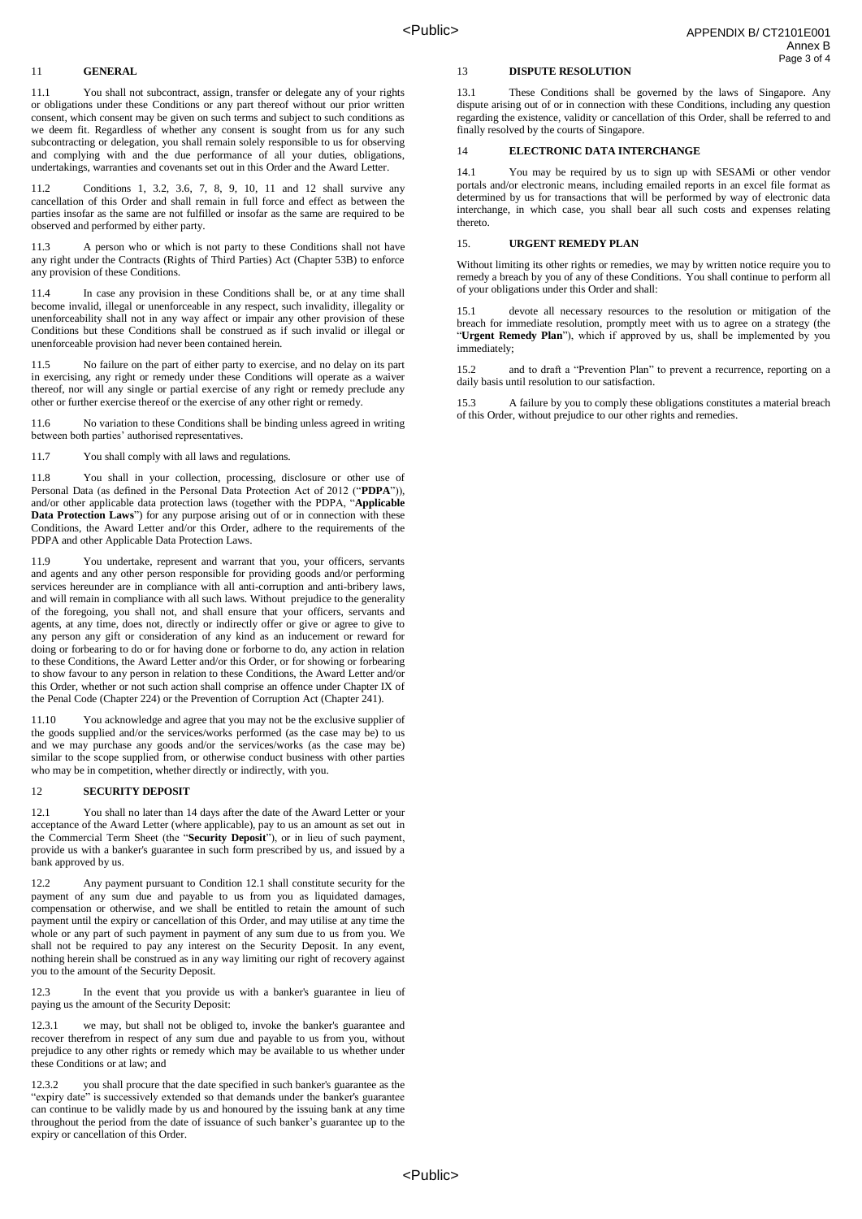#### 11 **GENERAL**

11.1 You shall not subcontract, assign, transfer or delegate any of your rights or obligations under these Conditions or any part thereof without our prior written consent, which consent may be given on such terms and subject to such conditions as we deem fit. Regardless of whether any consent is sought from us for any such subcontracting or delegation, you shall remain solely responsible to us for observing and complying with and the due performance of all your duties, obligations, undertakings, warranties and covenants set out in this Order and the Award Letter.

11.2 Conditions 1, 3.2, 3.6, 7, 8, 9, 10, 11 and 12 shall survive any cancellation of this Order and shall remain in full force and effect as between the parties insofar as the same are not fulfilled or insofar as the same are required to be observed and performed by either party.

11.3 A person who or which is not party to these Conditions shall not have any right under the Contracts (Rights of Third Parties) Act (Chapter 53B) to enforce any provision of these Conditions.

11.4 In case any provision in these Conditions shall be, or at any time shall become invalid, illegal or unenforceable in any respect, such invalidity, illegality or unenforceability shall not in any way affect or impair any other provision of these Conditions but these Conditions shall be construed as if such invalid or illegal or unenforceable provision had never been contained herein.

11.5 No failure on the part of either party to exercise, and no delay on its part in exercising, any right or remedy under these Conditions will operate as a waiver thereof, nor will any single or partial exercise of any right or remedy preclude any other or further exercise thereof or the exercise of any other right or remedy.

11.6 No variation to these Conditions shall be binding unless agreed in writing between both parties' authorised representatives.

11.7 You shall comply with all laws and regulations.

11.8 You shall in your collection, processing, disclosure or other use of Personal Data (as defined in the Personal Data Protection Act of 2012 ("**PDPA**")), and/or other applicable data protection laws (together with the PDPA, "**Applicable Data Protection Laws**") for any purpose arising out of or in connection with these Conditions, the Award Letter and/or this Order, adhere to the requirements of the PDPA and other Applicable Data Protection Laws.

11.9 You undertake, represent and warrant that you, your officers, servants and agents and any other person responsible for providing goods and/or performing services hereunder are in compliance with all anti-corruption and anti-bribery laws. and will remain in compliance with all such laws. Without prejudice to the generality of the foregoing, you shall not, and shall ensure that your officers, servants and agents, at any time, does not, directly or indirectly offer or give or agree to give to any person any gift or consideration of any kind as an inducement or reward for doing or forbearing to do or for having done or forborne to do, any action in relation to these Conditions, the Award Letter and/or this Order, or for showing or forbearing to show favour to any person in relation to these Conditions, the Award Letter and/or this Order, whether or not such action shall comprise an offence under Chapter IX of the Penal Code (Chapter 224) or the Prevention of Corruption Act (Chapter 241).

11.10 You acknowledge and agree that you may not be the exclusive supplier of the goods supplied and/or the services/works performed (as the case may be) to us and we may purchase any goods and/or the services/works (as the case may be) similar to the scope supplied from, or otherwise conduct business with other parties who may be in competition, whether directly or indirectly, with you.

#### 12 **SECURITY DEPOSIT**

12.1 You shall no later than 14 days after the date of the Award Letter or your acceptance of the Award Letter (where applicable), pay to us an amount as set out in the Commercial Term Sheet (the "**Security Deposit**"), or in lieu of such payment, provide us with a banker's guarantee in such form prescribed by us, and issued by a bank approved by us.

12.2 Any payment pursuant to Condition 12.1 shall constitute security for the payment of any sum due and payable to us from you as liquidated damages, compensation or otherwise, and we shall be entitled to retain the amount of such payment until the expiry or cancellation of this Order, and may utilise at any time the whole or any part of such payment in payment of any sum due to us from you. We shall not be required to pay any interest on the Security Deposit. In any event, nothing herein shall be construed as in any way limiting our right of recovery against you to the amount of the Security Deposit.

12.3 In the event that you provide us with a banker's guarantee in lieu of paying us the amount of the Security Deposit:

12.3.1 we may, but shall not be obliged to, invoke the banker's guarantee and recover therefrom in respect of any sum due and payable to us from you, without prejudice to any other rights or remedy which may be available to us whether under these Conditions or at law; and

you shall procure that the date specified in such banker's guarantee as the "expiry date" is successively extended so that demands under the banker's guarantee can continue to be validly made by us and honoured by the issuing bank at any time throughout the period from the date of issuance of such banker's guarantee up to the expiry or cancellation of this Order.

## 13 **DISPUTE RESOLUTION**

13.1 These Conditions shall be governed by the laws of Singapore. Any dispute arising out of or in connection with these Conditions, including any question regarding the existence, validity or cancellation of this Order, shall be referred to and finally resolved by the courts of Singapore.

## **ELECTRONIC DATA INTERCHANGE**

14.1 You may be required by us to sign up with SESAMi or other vendor portals and/or electronic means, including emailed reports in an excel file format as determined by us for transactions that will be performed by way of electronic data interchange, in which case, you shall bear all such costs and expenses relating thereto.

### **URGENT REMEDY PLAN**

Without limiting its other rights or remedies, we may by written notice require you to remedy a breach by you of any of these Conditions. You shall continue to perform all of your obligations under this Order and shall:

15.1 devote all necessary resources to the resolution or mitigation of the breach for immediate resolution, promptly meet with us to agree on a strategy (the "**Urgent Remedy Plan**"), which if approved by us, shall be implemented by you immediately;

15.2 and to draft a "Prevention Plan" to prevent a recurrence, reporting on a daily basis until resolution to our satisfaction.

15.3 A failure by you to comply these obligations constitutes a material breach of this Order, without prejudice to our other rights and remedies.